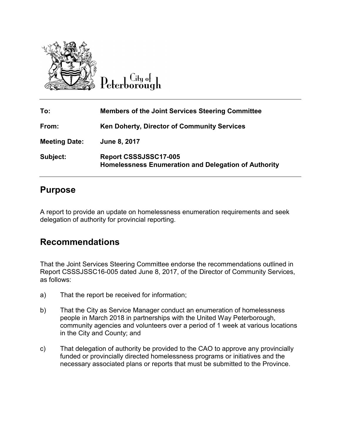

 $\overline{\mathrm{C}}$ ity of Peterborough

| To:                  | <b>Members of the Joint Services Steering Committee</b>                       |
|----------------------|-------------------------------------------------------------------------------|
| From:                | <b>Ken Doherty, Director of Community Services</b>                            |
| <b>Meeting Date:</b> | June 8, 2017                                                                  |
| Subject:             | Report CSSSJSSC17-005<br>Homelessness Enumeration and Delegation of Authority |

### **Purpose**

A report to provide an update on homelessness enumeration requirements and seek delegation of authority for provincial reporting.

### **Recommendations**

That the Joint Services Steering Committee endorse the recommendations outlined in Report CSSSJSSC16-005 dated June 8, 2017, of the Director of Community Services, as follows:

- a) That the report be received for information;
- b) That the City as Service Manager conduct an enumeration of homelessness people in March 2018 in partnerships with the United Way Peterborough, community agencies and volunteers over a period of 1 week at various locations in the City and County; and
- c) That delegation of authority be provided to the CAO to approve any provincially funded or provincially directed homelessness programs or initiatives and the necessary associated plans or reports that must be submitted to the Province.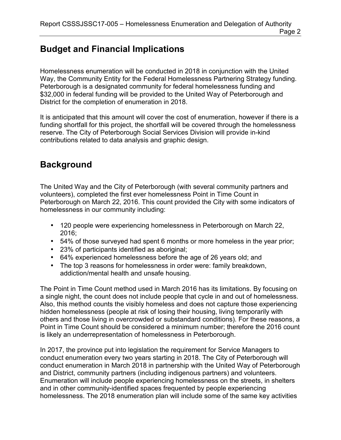# **Budget and Financial Implications**

Homelessness enumeration will be conducted in 2018 in conjunction with the United Way, the Community Entity for the Federal Homelessness Partnering Strategy funding. Peterborough is a designated community for federal homelessness funding and \$32,000 in federal funding will be provided to the United Way of Peterborough and District for the completion of enumeration in 2018.

It is anticipated that this amount will cover the cost of enumeration, however if there is a funding shortfall for this project, the shortfall will be covered through the homelessness reserve. The City of Peterborough Social Services Division will provide in-kind contributions related to data analysis and graphic design.

## **Background**

The United Way and the City of Peterborough (with several community partners and volunteers), completed the first ever homelessness Point in Time Count in Peterborough on March 22, 2016. This count provided the City with some indicators of homelessness in our community including:

- 120 people were experiencing homelessness in Peterborough on March 22, 2016;
- 54% of those surveyed had spent 6 months or more homeless in the year prior;
- 23% of participants identified as aboriginal;
- 64% experienced homelessness before the age of 26 years old; and
- The top 3 reasons for homelessness in order were: family breakdown, addiction/mental health and unsafe housing.

The Point in Time Count method used in March 2016 has its limitations. By focusing on a single night, the count does not include people that cycle in and out of homelessness. Also, this method counts the visibly homeless and does not capture those experiencing hidden homelessness (people at risk of losing their housing, living temporarily with others and those living in overcrowded or substandard conditions). For these reasons, a Point in Time Count should be considered a minimum number; therefore the 2016 count is likely an underrepresentation of homelessness in Peterborough.

In 2017, the province put into legislation the requirement for Service Managers to conduct enumeration every two years starting in 2018. The City of Peterborough will conduct enumeration in March 2018 in partnership with the United Way of Peterborough and District, community partners (including indigenous partners) and volunteers. Enumeration will include people experiencing homelessness on the streets, in shelters and in other community-identified spaces frequented by people experiencing homelessness. The 2018 enumeration plan will include some of the same key activities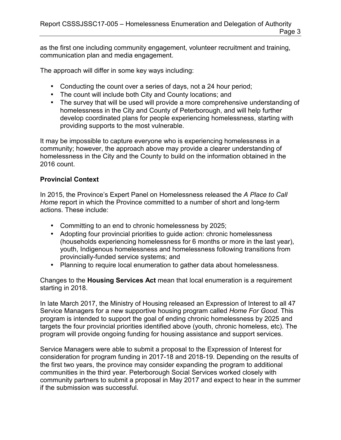as the first one including community engagement, volunteer recruitment and training, communication plan and media engagement.

The approach will differ in some key ways including:

- Conducting the count over a series of days, not a 24 hour period;
- The count will include both City and County locations; and
- The survey that will be used will provide a more comprehensive understanding of homelessness in the City and County of Peterborough, and will help further develop coordinated plans for people experiencing homelessness, starting with providing supports to the most vulnerable.

It may be impossible to capture everyone who is experiencing homelessness in a community; however, the approach above may provide a clearer understanding of homelessness in the City and the County to build on the information obtained in the 2016 count.

#### **Provincial Context**

In 2015, the Province's Expert Panel on Homelessness released the *A Place to Call Home* report in which the Province committed to a number of short and long-term actions. These include:

- Committing to an end to chronic homelessness by 2025;
- Adopting four provincial priorities to guide action: chronic homelessness (households experiencing homelessness for 6 months or more in the last year), youth, Indigenous homelessness and homelessness following transitions from provincially-funded service systems; and
- Planning to require local enumeration to gather data about homelessness.

Changes to the **Housing Services Act** mean that local enumeration is a requirement starting in 2018.

In late March 2017, the Ministry of Housing released an Expression of Interest to all 47 Service Managers for a new supportive housing program called *Home For Good*. This program is intended to support the goal of ending chronic homelessness by 2025 and targets the four provincial priorities identified above (youth, chronic homeless, etc). The program will provide ongoing funding for housing assistance and support services.

Service Managers were able to submit a proposal to the Expression of Interest for consideration for program funding in 2017-18 and 2018-19. Depending on the results of the first two years, the province may consider expanding the program to additional communities in the third year. Peterborough Social Services worked closely with community partners to submit a proposal in May 2017 and expect to hear in the summer if the submission was successful.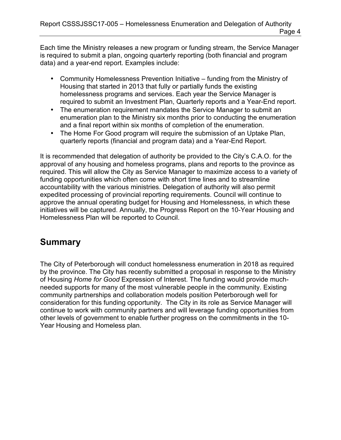Each time the Ministry releases a new program or funding stream, the Service Manager is required to submit a plan, ongoing quarterly reporting (both financial and program data) and a year-end report. Examples include:

- Community Homelessness Prevention Initiative funding from the Ministry of Housing that started in 2013 that fully or partially funds the existing homelessness programs and services. Each year the Service Manager is required to submit an Investment Plan, Quarterly reports and a Year-End report.
- The enumeration requirement mandates the Service Manager to submit an enumeration plan to the Ministry six months prior to conducting the enumeration and a final report within six months of completion of the enumeration.
- The Home For Good program will require the submission of an Uptake Plan, quarterly reports (financial and program data) and a Year-End Report.

It is recommended that delegation of authority be provided to the City's C.A.O. for the approval of any housing and homeless programs, plans and reports to the province as required. This will allow the City as Service Manager to maximize access to a variety of funding opportunities which often come with short time lines and to streamline accountability with the various ministries. Delegation of authority will also permit expedited processing of provincial reporting requirements. Council will continue to approve the annual operating budget for Housing and Homelessness, in which these initiatives will be captured. Annually, the Progress Report on the 10-Year Housing and Homelessness Plan will be reported to Council.

## **Summary**

The City of Peterborough will conduct homelessness enumeration in 2018 as required by the province. The City has recently submitted a proposal in response to the Ministry of Housing *Home for Good* Expression of Interest. The funding would provide muchneeded supports for many of the most vulnerable people in the community. Existing community partnerships and collaboration models position Peterborough well for consideration for this funding opportunity. The City in its role as Service Manager will continue to work with community partners and will leverage funding opportunities from other levels of government to enable further progress on the commitments in the 10- Year Housing and Homeless plan.